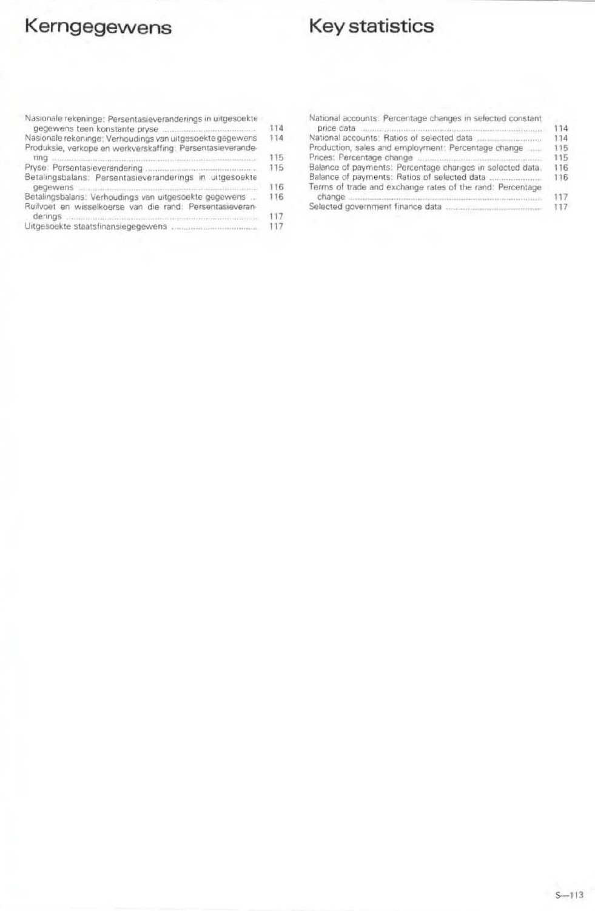# Kerngegewens

## Key statistics

| Nasionale rekeninge: Persentasieveranderings in uitgesoekte      |     |
|------------------------------------------------------------------|-----|
|                                                                  | 114 |
| Nasionale rekeninge: Verhoudings van uitgesoekte gegewens        | 114 |
| Produksie, verkope en werkverskaffing: Persentasieverande-       |     |
| FING accommodation in the commodation of the commodation of DITI | 115 |
|                                                                  | 115 |
| Betalingsbalans: Persentasieveranderings in uitgesoekte          |     |
| gegewens <b>Strattgebergement and an international control</b>   | 116 |
| Betalingsbalans: Verhoudings van uitgesoekte gegewens            | 116 |
| Ruilvoet en wisselkoerse van die rand: Persentasieveran-         |     |
| derings communications and communications and continues are all  | 117 |
|                                                                  | 117 |
|                                                                  |     |
|                                                                  |     |

| National accounts: Percentage changes in selected constant |     |
|------------------------------------------------------------|-----|
|                                                            | 114 |
| National accounts: Ratios of selected data                 | 114 |
| Production, sales and employment: Percentage change        | 115 |
|                                                            | 115 |
| Balance of payments: Percentage changes in selected data.  | 116 |
| Terms of trade and exchange rates of the rand: Percentage  | 116 |
|                                                            | 117 |
|                                                            | 117 |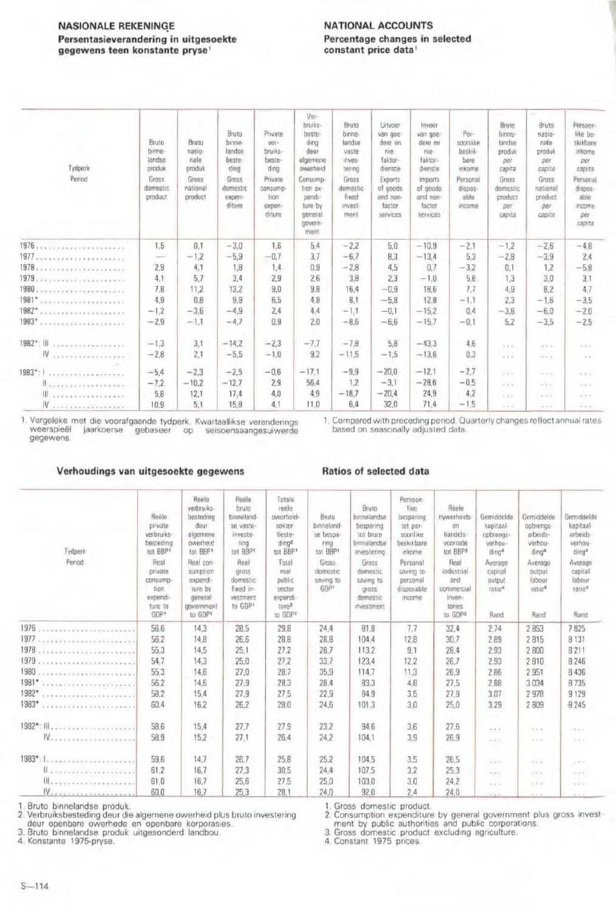#### **NASIONALE REKENINGE** Persentasieverandering in uitgesoekte gegewens teen konstante pryse!

#### **NATIONAL ACCOUNTS** Percentage changes in selected constant price data<sup>1</sup>

|                                                                                                                                                                                                                                                                                                                                                                                                                                                                                               |                 |                 |                 |                  | Ver-<br>bruiks-      | Bruto             | Litvoer             | Invoer              |                     | Bruto.           | Bruto                            | Persoon-              |
|-----------------------------------------------------------------------------------------------------------------------------------------------------------------------------------------------------------------------------------------------------------------------------------------------------------------------------------------------------------------------------------------------------------------------------------------------------------------------------------------------|-----------------|-----------------|-----------------|------------------|----------------------|-------------------|---------------------|---------------------|---------------------|------------------|----------------------------------|-----------------------|
|                                                                                                                                                                                                                                                                                                                                                                                                                                                                                               | Bruta           | Bruto           | Bruto<br>binne- | Private<br>ver-  | beste-<br>dina       | birine-<br>landse | van goe-<br>dere en | van goe-<br>dere en | Per-<br>soonlike    | binne-<br>landse | $\overline{\text{mass}}$<br>nale | like be-<br>skikbare. |
|                                                                                                                                                                                                                                                                                                                                                                                                                                                                                               | binne-          | nasio-          | landse          | bruiks-          | deur                 | vaste             | nie-                | nie-                | beskik              | produk           | produk                           | inkorne               |
|                                                                                                                                                                                                                                                                                                                                                                                                                                                                                               | landse          | nale            | beste-          | beste-           | afgemene             | inves-            | faktor-             | faktor-             | bare                | per              | DBt                              | DDI                   |
| Tydperk<br>Period                                                                                                                                                                                                                                                                                                                                                                                                                                                                             | produk<br>Grass | produk<br>Gross | ding<br>Gross   | ding<br>Private  | owerheid<br>Consump- | tering<br>Gross   | dienste             | dienste             | itskome             | capita<br>Gross  | capital<br>Gross                 | capita                |
|                                                                                                                                                                                                                                                                                                                                                                                                                                                                                               | domestic        | national        | domestic        | consump-         | tion ex-             | domestic          | Exports<br>of goods | Imports<br>of goods | Personal<br>dispos- | domestic         | national                         | Personal<br>dispos-   |
|                                                                                                                                                                                                                                                                                                                                                                                                                                                                                               | product         | product         | experi-         | tion             | pendi-               | fixed             | and non-            | and non-            | able                | product          | product                          | able                  |
|                                                                                                                                                                                                                                                                                                                                                                                                                                                                                               |                 |                 | diture          | expen-<br>diture | ture by<br>general   | invest-<br>ment   | factor<br>services  | factor<br>services  | income              | DBT<br>capita    | per<br>capital                   | income<br>per         |
|                                                                                                                                                                                                                                                                                                                                                                                                                                                                                               |                 |                 |                 |                  | govern-              |                   |                     |                     |                     |                  |                                  | capital               |
|                                                                                                                                                                                                                                                                                                                                                                                                                                                                                               |                 |                 |                 |                  | ment                 |                   |                     |                     |                     |                  |                                  |                       |
|                                                                                                                                                                                                                                                                                                                                                                                                                                                                                               | 1.5             | 0.1             | $-3.0$          | 1.6              | 5.4                  | $-2.2$            | 5.0                 | $-10.9$             | $-2.1$              | $-1.2$           | $-2.6$                           | $-4.8$                |
|                                                                                                                                                                                                                                                                                                                                                                                                                                                                                               | $\frac{1}{2}$   | $-1,2$          | $-5,9$          | $-0.7$           | 3.7                  | $-6.7$            | 8.3                 | $-13.4$             | 5,3                 | $-2.8$           | $-3.9$                           | 2,4                   |
|                                                                                                                                                                                                                                                                                                                                                                                                                                                                                               | 2,9             | 4,1             | 1,8             | 1,4              | 0,9                  | $-2.8$            | 4.5                 | 0.7                 | $-3.2$              | 0,1              | 1.2                              | $-5,8$                |
|                                                                                                                                                                                                                                                                                                                                                                                                                                                                                               | 4,1             | 5.7             | 3.4             | 2,9              | 2.6                  | 3.8               | 2.3                 | $-1.0$              | 5,8                 | 1,3              | 3.0                              | 3,1                   |
| 1980<br>                                                                                                                                                                                                                                                                                                                                                                                                                                                                                      | 7.8             | 11.2            | 13.2            | 9,0              | 9.8                  | 16.4              | $-0.9$              | 18.6                | 7.7                 | 4.9              | B.2                              | 4.7                   |
| 1981*                                                                                                                                                                                                                                                                                                                                                                                                                                                                                         | 4,9             | 0.8             | 9.9             | 6.5              | 4.8                  | B.1               | $-5.8$              | 12.8                | $-1.1$              | 2.3              | $-1,6$                           | $-3.5$                |
|                                                                                                                                                                                                                                                                                                                                                                                                                                                                                               | $-1.2$          | $-3,6$          | $-4.9$          | 2.4              | 4.4                  | $-1.1$            | $-0.1$              | $-15.2$             | 0.4                 | $-3.6$           | $-6.0$                           | $-2.0$                |
| 1983*<br>********************                                                                                                                                                                                                                                                                                                                                                                                                                                                                 | $-2,9$          | $-1.1$          | $-4.7$          | 0.9              | 2.0                  | $-8.6$            | $-6.6$              | $-15.7$             | $-0,1$              | 5.2              | $-3.5$                           | $-2.5$                |
| $1982^*$ ; iii<br>$\label{eq:1.1} \begin{split} \mathcal{L}(\mathcal{L}) = \mathcal{L} = \mathcal{L}(\mathcal{L}) = \mathcal{L}(\mathcal{L}) = \mathcal{L}(\mathcal{L}) = \mathcal{L}(\mathcal{L}) = \mathcal{L}(\mathcal{L}) = \mathcal{L}(\mathcal{L}) = \mathcal{L}(\mathcal{L}) = \mathcal{L}(\mathcal{L}) = \mathcal{L}(\mathcal{L}) = \mathcal{L}(\mathcal{L}) = \mathcal{L}(\mathcal{L}) = \mathcal{L}(\mathcal{L}) = \mathcal{L}(\mathcal{L}) = \mathcal{L}(\mathcal{L}) = \mathcal{$ | $-1,3$          | 3,1             | $-14.2$         | $-23$            | $-7.7$               | $-7,8$            | 5.8                 | $-43.3$             | 4,6                 | (1, 0, 0)        | all mo                           | 22.1                  |
| IV.<br>*****************                                                                                                                                                                                                                                                                                                                                                                                                                                                                      | $-2,8$          | 2.1             | $-5.5$          | $-1.0$           | 9.2                  | $-11.5$           | $-1.5$              | $-13.6$             | 0.3                 | $A = 0.5$        | <b>Gal</b>                       | 1/4                   |
| 1983*                                                                                                                                                                                                                                                                                                                                                                                                                                                                                         | $-5.4$          | $-2.3$          | $-2,5$          | $-0.6$           | $-17.1$              | $-9.9$            | $-20.0$             | $-12.1$             | $-2.7$              |                  |                                  |                       |
| <b><i>EXTTLIBULAREDOCK</i></b>                                                                                                                                                                                                                                                                                                                                                                                                                                                                | $-7,2$          | $-10.2$         | $-12.7$         | 2.9              | 56.4                 | 1.2               | $-3.1$              | $-28.6$             | $-0.5$              | 8.9.9            | $4 - 6 + 1$                      | 4.9.4                 |
| <b><i><u><i><u>RESERVATIONS</u></i></u></i></b><br>111                                                                                                                                                                                                                                                                                                                                                                                                                                        | 5.8             | 12.1            | 17.4            | 4,0              | 4.9                  | $-18.7$           | $-20.4$             | 24.9                | 4.2                 | $-22.3$          | $-4 - 4$                         | 1/2/3                 |
|                                                                                                                                                                                                                                                                                                                                                                                                                                                                                               |                 | 5.1             | 15,8            | 4.1              | 11.0                 | 6.4               | 32.0                | 71,4                | $-1.5$              | 7.5.1            | $-218$                           | 到光明                   |
| IV                                                                                                                                                                                                                                                                                                                                                                                                                                                                                            | 10.9            |                 |                 |                  |                      |                   |                     |                     |                     | $1 - 4 - 5$      | $4 - 4 - 2$                      | $10 - 10 = 0$         |

1. Vergeleke met die voorafgaande tydperk. Kwartaallikse veranderings<br>weerspieël jaarkoerse gebaseer op seisoensaangesuiwerde gegewens

1. Compared with preceding period. Quarterly changes reflect annual rates<br>based on seasonally adjusted data

#### Verhoudings van uitgesoekte gegewens

#### Ratios of selected data

| Tydperk<br>Period                             | Reele<br>private<br>verbruiks-<br>besteding<br>tot BBP1<br>Real<br>private<br>consump-<br>tion<br>expendi-<br>ture to<br>GDP <sup>1</sup> | Reele<br>verbruiks-<br>besteding<br>deur<br>algemene<br>owerheid<br>tot BBP1<br>Real con-<br>sumption<br>expendi-<br>ture by<br>general<br>government<br>to GDP1 | Reele<br>bruto<br>binneland-<br>se vaste-<br>investe-<br>ring<br>tot BBPT<br>Real<br>gross.<br>domestic<br>fixed in-<br>vestment<br>to GOP® | Totale<br>reele<br>owerheid-<br>sektor<br>beste-<br>$\text{dina}^2$<br>tot BBP <sup>*</sup><br>Total<br>real<br>public<br>sector<br>expendi<br>tine <sup>2</sup><br>to GDP1 | Bruta<br>binneland-<br>se bespa-<br>ring<br>tot BBP1<br>Gross<br>domestic<br>saving to<br>GDP <sup>1</sup> | Bruto<br>binnelandse<br>besparing<br>tot bruto<br>binnelandse<br>investering<br><b>Gross</b><br>domestic<br>saving to<br><b>UID55</b><br>domestic<br>investment | Persoon-<br><b>Hice</b><br>besparing<br>tot per-<br>sounlike<br>beskikbare<br>inkome<br>Personal<br>saving to<br>personal<br>disposable<br>income | Réale<br>nywerheids<br>en<br>handels-<br>voorrade<br>tot BBP#<br>Real<br>industrial<br>and<br>commercial<br>inven-<br>tones<br>to GDP# | Gemiddelde<br>kapitaal<br>opbrengs-<br>verhou-<br>$d$ ing <sup>4</sup><br>Average<br>capital<br>output<br>ratio <sup>4</sup><br>Rand | Gemiddelde<br>opbrengs-<br>arbeids-<br>verhou-<br>ding4<br>Average<br>putput<br>labout<br>ratio <sup>4</sup><br>Rand | Gemiddelde<br>kapitaal-<br>arbeids-<br>verhou-<br>ding*<br>Average<br>capital<br>labour<br>$ratio$ <sup>4</sup><br>Rand |
|-----------------------------------------------|-------------------------------------------------------------------------------------------------------------------------------------------|------------------------------------------------------------------------------------------------------------------------------------------------------------------|---------------------------------------------------------------------------------------------------------------------------------------------|-----------------------------------------------------------------------------------------------------------------------------------------------------------------------------|------------------------------------------------------------------------------------------------------------|-----------------------------------------------------------------------------------------------------------------------------------------------------------------|---------------------------------------------------------------------------------------------------------------------------------------------------|----------------------------------------------------------------------------------------------------------------------------------------|--------------------------------------------------------------------------------------------------------------------------------------|----------------------------------------------------------------------------------------------------------------------|-------------------------------------------------------------------------------------------------------------------------|
|                                               | 56.6                                                                                                                                      | 14.3                                                                                                                                                             | 28.5                                                                                                                                        | 29.8                                                                                                                                                                        | 24.4                                                                                                       | 81.8                                                                                                                                                            | 7.7                                                                                                                                               | 32.4                                                                                                                                   | 2.74                                                                                                                                 | 2853                                                                                                                 | 7825                                                                                                                    |
| 1977                                          | 56.2                                                                                                                                      | 14,8                                                                                                                                                             | 26.6                                                                                                                                        | 28.8                                                                                                                                                                        | 28,8                                                                                                       | 104.4                                                                                                                                                           | 12,8                                                                                                                                              | 30.7                                                                                                                                   | 2.89                                                                                                                                 | 2815                                                                                                                 | 8 1 3 1                                                                                                                 |
| 1978                                          | 55.3                                                                                                                                      | 14.5                                                                                                                                                             | 25.1                                                                                                                                        | 27.2                                                                                                                                                                        | 28.7                                                                                                       | 113.2                                                                                                                                                           | 9.1                                                                                                                                               | 28.4                                                                                                                                   | 2,93                                                                                                                                 | 2800                                                                                                                 | <b>B211</b>                                                                                                             |
|                                               | 54.7                                                                                                                                      | 14.3                                                                                                                                                             | 25.0                                                                                                                                        | 27.2                                                                                                                                                                        | 33.7                                                                                                       | 123.4                                                                                                                                                           | 12.2                                                                                                                                              | 26,7                                                                                                                                   | 2.93                                                                                                                                 | 2810                                                                                                                 | 8 2 4 6                                                                                                                 |
| 1980<br>                                      | 55.3                                                                                                                                      | 14.6                                                                                                                                                             | 27,0                                                                                                                                        | 28,7                                                                                                                                                                        | 35,9                                                                                                       | 114.7                                                                                                                                                           | 11,3                                                                                                                                              | 26.9                                                                                                                                   | 2.86                                                                                                                                 | 2 9 5 1                                                                                                              | 8 4 3 6                                                                                                                 |
| 1981*<br><b>Automobile experiences</b>        | 56.2                                                                                                                                      | 14,6                                                                                                                                                             | 27.9                                                                                                                                        | 28.3                                                                                                                                                                        | 28.4                                                                                                       | 83,3                                                                                                                                                            | 4.8                                                                                                                                               | 27.5                                                                                                                                   | 2.88                                                                                                                                 | 3034                                                                                                                 | <b>B735</b>                                                                                                             |
| 1982*<br>                                     | 58.2                                                                                                                                      | 15.4                                                                                                                                                             | 27.9                                                                                                                                        | 27,5                                                                                                                                                                        | 22.9                                                                                                       | 84.9                                                                                                                                                            | 3.5                                                                                                                                               | 27.9                                                                                                                                   | 3,07                                                                                                                                 | 2978                                                                                                                 | 9129                                                                                                                    |
| 1983*                                         | 60.4                                                                                                                                      | 16.2                                                                                                                                                             | 26,2                                                                                                                                        | 28.0                                                                                                                                                                        | 24,6                                                                                                       | 101.3                                                                                                                                                           | 3.0                                                                                                                                               | 25,0                                                                                                                                   | 3.29                                                                                                                                 | 2809                                                                                                                 | <b>B</b> 245                                                                                                            |
| 1982*<br>- 111<br><b>********************</b> | 58.6                                                                                                                                      | 15.4                                                                                                                                                             | 27.7                                                                                                                                        | 27.9                                                                                                                                                                        | 23.2                                                                                                       | 94.6                                                                                                                                                            | 3.6                                                                                                                                               | 27.6                                                                                                                                   | $\sim$<br>$4 - 6 - 4$                                                                                                                | 0.41, 0.                                                                                                             | $+0.9 - 5.$                                                                                                             |
|                                               | 58.9                                                                                                                                      | 15,2                                                                                                                                                             | 27.1                                                                                                                                        | 26.4                                                                                                                                                                        | 24.2                                                                                                       | 104.1                                                                                                                                                           | 3.9                                                                                                                                               | 26.9                                                                                                                                   | $-2.1$                                                                                                                               | $4^{+}3-3$                                                                                                           | $+ + +$                                                                                                                 |
| 1983*<br>                                     | 59.6                                                                                                                                      | 14.7                                                                                                                                                             | 26.7                                                                                                                                        | 25.8                                                                                                                                                                        | 25.2                                                                                                       | 104.5                                                                                                                                                           | 3.5                                                                                                                                               | 26.5                                                                                                                                   | $4 - 47$ (1)                                                                                                                         | 7.315                                                                                                                | 1.9.7                                                                                                                   |
| Il ancesos con es es es es es                 | 61.2                                                                                                                                      | 16.7                                                                                                                                                             | 27.3                                                                                                                                        | 30.5                                                                                                                                                                        | 24.4                                                                                                       | 107.5                                                                                                                                                           | 3.2                                                                                                                                               | 25.3                                                                                                                                   | wieni.                                                                                                                               | 416.4                                                                                                                | Liciture.                                                                                                               |
|                                               | 61.0                                                                                                                                      | 16,7                                                                                                                                                             | 25.6                                                                                                                                        | 27,5                                                                                                                                                                        | 25,0                                                                                                       | 103.0                                                                                                                                                           | 3.0                                                                                                                                               | 24.2                                                                                                                                   | $-111$                                                                                                                               | 4.181.61                                                                                                             | 3.956                                                                                                                   |
| Niconnochtannel                               | 60.0                                                                                                                                      | 16.7                                                                                                                                                             | 25.3                                                                                                                                        | 28.1                                                                                                                                                                        | 24.0                                                                                                       | 92.0                                                                                                                                                            | 2.4                                                                                                                                               | 24.0                                                                                                                                   | $-11$                                                                                                                                | 4.4.4                                                                                                                | 24.4                                                                                                                    |

1. Bruto binnelandse produk.<br>
2. Verbruiksbesteding deur die algemene owerheid plus bruto investering<br>
deur openbare owerhede en openbare korporasies.<br>
3. Bruto binnelandse produk uitgesonderd landbou.<br>
4. Konstante 1975-p

1. Gross domestic product.<br>
2. Consumption expenditure by general government plus gross investment by public authorities and public corporations.<br>
3. Gross domestic product excluding agriculture.<br>
4. Constant 1975 prices.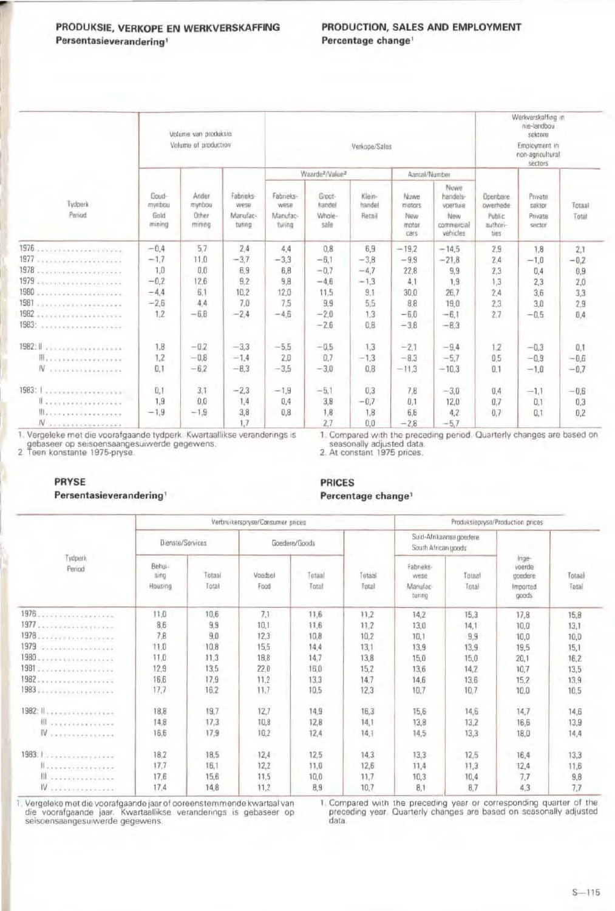#### PRODUKSIE, VERKOPE EN WERKVERSKAFFING Persentasieverandering<sup>1</sup>

#### PRODUCTION, SALES AND EMPLOYMENT Percentage change<sup>1</sup>

|                                                    |                                   | Volume van produksie<br>Volume of production |                                         |                                         |                                         | Werkverskaffing in<br>nie-landbou<br>sektore<br>Employment in<br>non-agricultural<br>sectors |                                        |                                                               |                                                    |                                        |                 |
|----------------------------------------------------|-----------------------------------|----------------------------------------------|-----------------------------------------|-----------------------------------------|-----------------------------------------|----------------------------------------------------------------------------------------------|----------------------------------------|---------------------------------------------------------------|----------------------------------------------------|----------------------------------------|-----------------|
|                                                    |                                   |                                              |                                         |                                         | Waarde <sup>2</sup> /Value <sup>2</sup> |                                                                                              |                                        | Aantai/Number                                                 |                                                    | Private<br>sektor<br>Private<br>sector |                 |
| Tydperk<br>Period                                  | Goud-<br>mynbou<br>Gold<br>mining | Ander<br>mynbou<br>Other<br>mining           | Fabrieks-<br>wese<br>Manufac-<br>turing | Fabrieks-<br>wese<br>Manufac-<br>turing | Groot-<br>handel<br>Whole-<br>sale      | Klein-<br>handel<br>Retail                                                                   | Nowe<br>motors<br>New<br>motor<br>cars | Nuwe<br>handels-<br>voertuie<br>New<br>commercial<br>vehicles | Openbare<br>owerhede<br>Public<br>authori-<br>ties |                                        | Totaal<br>Total |
| 1976                                               | $-0.4$                            | 5.7                                          | 2.4                                     | 4.4                                     | 0.8                                     | 6.9                                                                                          | $-19.2$                                | $-14.5$                                                       | 2.9                                                | 7.8                                    | 2,1             |
|                                                    | $-1,7$                            | 11.0                                         | $-3.7$                                  | $-3,3$                                  | $-6.1$                                  | $-3.8$                                                                                       | $-9.9$                                 | $-21,8$                                                       | 2,4                                                | $-1,0$                                 | $-0.7$          |
| 1978<br>.<br>Prezidente de la provincia de la pro- | 1.0                               | 0.0                                          | 6.9                                     | 6,8                                     | $-0.7$                                  | $-4.7$                                                                                       | 22,8                                   | 9.9                                                           | 2,3                                                | 0.4                                    | 0,9             |
|                                                    | $-0.2$                            | 12.6                                         | 9.2                                     | 9.8                                     | $-4.6$                                  | $-1,3$                                                                                       | 4.1                                    | 1.9                                                           | 1,3                                                | 2,3                                    | 2,0             |
| 1980                                               | $-4,4$                            | 6,1                                          | 10.2                                    | 12.0                                    | 11,5                                    | 9.1                                                                                          | 30,0                                   | 26,7                                                          | 2.4                                                | 3,6                                    | 3,3             |
| 1981<br><b>TEXT-TEXT-TEXT-TEXT-TEXT</b>            | $-2,6$                            | 4.4                                          | 7.0                                     | 7.5                                     | 9,9                                     | 5,5                                                                                          | 8.8                                    | 19,0                                                          | 2.3                                                | 3.0                                    | 2.9             |
|                                                    | 1.2                               | $-6,8$                                       | $-2,4$                                  | $-4,6$                                  | $-2,0$                                  | 1:3                                                                                          | $-6.0$                                 | $-6.1$                                                        | 2.7                                                | $-0.5$                                 | 0.4             |
| 1983:                                              |                                   |                                              |                                         |                                         | $-2.6$                                  | 0,8                                                                                          | $-3,8$                                 | $-8.3$                                                        |                                                    |                                        |                 |
| 1982: Il va consorte executive                     | 1.8                               | $-0.2$                                       | $-3.3$                                  | $-5.5$                                  | $-0.5$                                  | 1,3                                                                                          | $-2,1$                                 | $-9.4$                                                        | 1.2                                                | $-0.3$                                 | 0,1             |
|                                                    | 1.2                               | $-0.8$                                       | $-1.4$                                  | 2.0                                     | 0.7                                     | $-1,3$                                                                                       | $-8.3$                                 | $-5.7$                                                        | 0.5                                                | $-0.9$                                 | $-0,6$          |
| $N$                                                | 0.1                               | $-6.2$                                       | $-8.3$                                  | $-3,5$                                  | $-3,0$                                  | 0,8                                                                                          | $-11,3$                                | $-10.3$                                                       | 0.1                                                | $-1,0$                                 | $-0.7$          |
| 1983: 1.                                           | 0.1                               | 3,1                                          | $-2.3$                                  | $-1.9$                                  | $-5.1$                                  | 0.3                                                                                          | 7,8                                    | $-3,0$                                                        | 0.4                                                | $-1.1$                                 | $-0.6$          |
| Il a correrare e estats                            | 1.9                               | 0,0                                          | 1.4                                     | 0.4                                     | 3,8                                     | $-0.7$                                                                                       | 0,1                                    | 12,0                                                          | 0.7                                                | 0,1                                    | 0.3             |
| Illians is a conservative                          | $-1,9$                            | $-1.9$                                       | 3.8                                     | 0,8                                     | 1,8                                     | 1,8                                                                                          | 6,6                                    | 4.2                                                           | 0.7                                                | 0.1                                    | 0.2             |
| W                                                  |                                   |                                              | 17                                      |                                         | 2.7                                     | 0.0                                                                                          | $-28$                                  | $-5.7$                                                        |                                                    |                                        |                 |

1. Vergeleke met die voorafgaande tydperk. Kwartaallikse veranderings is

gebaseer op seisoensaangesuiwerde gegewens.<br>2 Teen konstante 1975-pryse.

### 1. Compared with the preceding period. Quarterly changes are based on seasonally adjusted data.

2. At constant 1975 prices.

#### PRYSE

#### Persentasieverandering<sup>1</sup>

#### **PRICES** Percentage change<sup>1</sup>

|                                     |                           |                 | Verbruikerspryse/Consumer prices | Produksiepryse/Production prices |                 |                                                |                 |                                        |                 |
|-------------------------------------|---------------------------|-----------------|----------------------------------|----------------------------------|-----------------|------------------------------------------------|-----------------|----------------------------------------|-----------------|
| Tydperk.<br>Period                  | Dienste/Services          |                 |                                  | Goedere/Goods                    |                 | Suid-Afrikaanse goedere<br>South African goods |                 | $ n$ ge-                               |                 |
|                                     | Behui-<br>sing<br>Housing | Totaal<br>Total | Voedsel<br>Food                  | Totaal<br>Total                  | Totaal<br>Total | Fabrieks-<br>wese<br>Manufac-<br>turing        | Totaal<br>Total | voerde<br>goedere<br>Imported<br>noods | Totaal<br>Total |
| 1976.                               | 11.0                      | 10.6            | 7.1                              | 11,6                             | 11.2            | 14,2                                           | 15,3            | 17,8                                   | 15,8            |
|                                     | 8.6                       | 9,9             | 10.1                             | 11,6                             | 11.2            | 13,0                                           | 14,1            | 10,0                                   | 13.1            |
| 1978                                | 7,8                       | 9.0             | 12.3                             | 10,8                             | 10.2            | 10,1                                           | 9,9             | 10,0                                   | 10,0            |
| 1979                                | 11.0                      | 10.8            | 15.5                             | 14.4                             | 13,1            | 13,9                                           | 13.9            | 19.5                                   | 15,1            |
|                                     | 11,0                      | 11,3            | 18.8                             | 14,7                             | 13,8            | 15,0                                           | 15,0            | 20.1                                   | 16,2            |
| 1981                                | 12,9                      | 13,5            | 22,0                             | 16,0                             | 15,2            | 13.6                                           | 14,2            | 10.7                                   | 13.5            |
| 1982.                               | 16,6                      | 17.9            | 11,2                             | 13.3                             | 14.7            | 14,6                                           | 13.6            | 15.2                                   | 13.9            |
|                                     | 17,7                      | 16.2            | 11,7                             | 10.5                             | 12,3            | 10,7                                           | 10.7            | 10.0                                   | 10,5            |
| 1982: 1.                            | 18.8                      | 19.7            | 12.7                             | 14,9                             | 16.3            | 15,6                                           | 14,6            | 14.7                                   | 14,6            |
| <b>Illustration</b>                 | 14,8                      | 17,3            | 10,8                             | 12,8                             | 14,1            | 13,8                                           | 13.2            | 16,6                                   | 13.9            |
| $N$ ,                               | 16,6                      | 17,9            | 10.2                             | 12.4                             | 14.1            | 14,5                                           | 13,3            | 18.0                                   | 14,4            |
| 1983: 1.                            | 18,2                      | 18.5            | 12,4                             | 12,5                             | 14.3            | 13,3                                           | 12.5            | 16.4                                   | 13.3            |
| 1.                                  | 17,7                      | 16.1            | 12.2                             | 11,0                             | 12.6            | 11,4                                           | 11,3            | 12.4                                   | 11.6            |
| III <i><i>EXECUTIVATION</i></i>     | 17,6                      | 15,6            | 11,5                             | 10,0                             | 11.7            | 10,3                                           | 10,4            | 7,7                                    | 9,8             |
| $W$ , , , , , , , , , , , , , , , , | 17,4                      | 14,8            | 11,2                             | 8.9                              | 10.7            | 8.1                                            | B,7             | 4.3                                    | 7.7             |

1. Vergeleke met die voorafgaande jaar of ooreenstemmende kwartaal van die voorafgaande jaar. Kwartaallikse veranderings is gebaseer op seisoensaangesuiwerde gegewens.

1. Compared with the preceding year or corresponding quarter of the preceding year. Quarterly changes are based on seasonally adjusted data.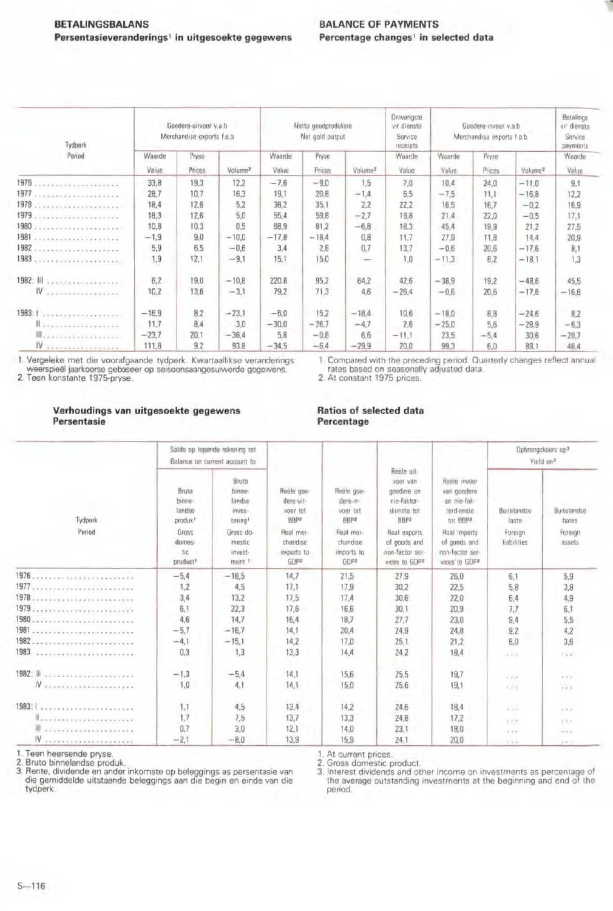| Tydperk<br>Pariod                                 | Goedere-uitvoer v.s.b.<br>Merchandise exports f.o.b |        |                     |         | Netto goudproduksie<br>Net gold output |                     | Ontvangste.<br>vir dienste<br>Service<br>receipts | Goedere-invoer v.a.b<br>Merchandise imports f.o.b. |        |                     | Betalings<br>vir dienste<br>Service<br>payments |
|---------------------------------------------------|-----------------------------------------------------|--------|---------------------|---------|----------------------------------------|---------------------|---------------------------------------------------|----------------------------------------------------|--------|---------------------|-------------------------------------------------|
|                                                   | Waarde                                              | Pryse  |                     | Waarde  | Pryse                                  |                     | Waarde                                            | Waarde                                             | Pryse  | a.                  | Waarde                                          |
|                                                   | Value                                               | Prices | Volume <sup>2</sup> | Value.  | Prices                                 | Volumez             | Value                                             | Value                                              | Prices | Volume <sub>2</sub> | Value                                           |
| 1976<br><b>THE R. P. LEWIS CO., LANSING MICH.</b> | 33.8                                                | 19.3   | 12.2                | $-7.6$  | $-9.0$                                 | 1.5                 | 7.0                                               | 10.4                                               | 24,0   | $-11.0$             | 9.1                                             |
| 1977                                              | 28,7                                                | 10.7   | 16.3                | 19.1    | 20.8                                   | $-1.4$              | 6,5                                               | $-7,5$                                             | 11.1   | $-16.8$             | 12.2                                            |
| 1978<br>*******************                       | 18.4                                                | 12.6   | 5.2                 | 38,2    | 35.1                                   | 2.2                 | 22.2                                              | 16.5                                               | 16.7   | $-0.2$              | 16,9                                            |
| 1979                                              | 18,3                                                | 12.6   | 5.0                 | 55.4    | 59.8                                   | $-27$               | 19,8                                              | 21.4                                               | 22.0   | $-0.5$              | 17.1                                            |
| 1980<br>.                                         | 10.8                                                | 10.3   | 0.5                 | 68.9    | 81.2                                   | $-6.8$              | 18.3                                              | 45.4                                               | 19.9   | 21.2                | 27.5                                            |
| 1981<br><b>A PARTICIPATION OF CONTRACTOR</b>      | $-1.9$                                              | 9,0    | $-10.0$             | $-17.8$ | $-18,4$                                | 0.8                 | 11.7                                              | 27.9                                               | 11.8   | 14.4                | 20.9                                            |
| 1982<br><b>CONTRACTOR</b> EXPERIENCES             | 5,9                                                 | 6.5    | $-0.6$              | 3.4     | 2.8                                    | 0.7                 | 13,7                                              | $-0.6$                                             | 20.6   | $-17,6$             | B, 1                                            |
| 1983<br>********************                      | 1,9                                                 | 12.1   | $-9,1$              | 15,1    | 15,0                                   | <b>STATE OF ALL</b> | 1,0                                               | $-11,3$                                            | 8.2    | $-18.1$             | 1,3                                             |
|                                                   | 6.2                                                 | 19,0   | $-10,8$             | 220.8   | 95.2                                   | 64,2                | 42.6                                              | $-38,9$                                            | 19,2   | $-48,6$             | 45.5                                            |
| W conservatives.                                  | 10,2                                                | 13,6   | $-3.1$              | 79.2    | 71,3                                   | 4.6                 | $-26.4$                                           | $-0.6$                                             | 20.6   | $-17.6$             | $-16,8$                                         |
| 1983:1<br><b>STATE REVAILABLE ABADE</b>           | $-16.9$                                             | 8.2    | $-23.1$             | $-6.0$  | 15.2                                   | $-18.4$             | 10,6                                              | $-18.0$                                            | 8.8    | $-24.6$             | B, Z                                            |
| <b><i>L'étation de l'étation de l'</i>E</b>       | 11.7                                                | 8,4    | 3.0                 | $-30.0$ | $-26.7$                                | $-4.7$              | 2.6                                               | $-25.0$                                            | 5.6    | $-28.9$             | $-6,3$                                          |
| Illy all because the control                      | $-23.7$                                             | 20.1   | $-36.4$             | 5.8     | $-0.8$                                 | 6.6                 | $-11.1$                                           | 23,5                                               | $-5.4$ | 30,6                | $-20.7$                                         |
| IV<br>                                            | 111,8                                               | 9.7    | 93.8                | $-34.5$ | $-6.4$                                 | $-29.9$             | 20.0                                              | 99.3                                               | 6.0    | 88.1                | 46.4                                            |

1. Vergeleke met die voorafgaande tydperk. Kwartaallikse veranderings weerspieël jaarkoerse gebaseer op seisoensaangesuiwerde gegewens.<br>2. Teen konstante 1975-pryse.

1. Compared with the preceding period. Quarterly changes reflect annual rates based on seasonally adjusted data.<br>2. At constant 1975 prices.

#### Verhoudings van uitgesoekte gegewens Persentasie

#### Ratios of selected data Percentage

| Tydperk<br>Period                                             |                                                                                         | Saldo op lopende rekening tot<br>Balance on current account to                                                | Reale goe-<br>dere-uit-<br>voer tot<br>BBP2<br>Real mer-<br>chandise<br>exports to<br>GDP2 | Reele goe-<br>dere in-<br>voer tot<br>BBPZ<br><b>Real mer-</b><br>chandise<br>imports to<br>GDP# | Reale uit-<br>voer van<br>goedere en<br>nie-faktor-<br>dienste tot<br>RBP2<br>Real exports<br>of goods and<br>non-factor ser-<br>vices to GDP2 | Reitle invoer<br>van goedere<br>en nie-fak-<br>tordienste<br>tot BBP2<br>Real imports<br>of goods and<br>non-factor ser-<br>vices to GDP# | Dobrengskoers op <sup>3</sup><br>Yield on <sup>3</sup> |                                           |  |
|---------------------------------------------------------------|-----------------------------------------------------------------------------------------|---------------------------------------------------------------------------------------------------------------|--------------------------------------------------------------------------------------------|--------------------------------------------------------------------------------------------------|------------------------------------------------------------------------------------------------------------------------------------------------|-------------------------------------------------------------------------------------------------------------------------------------------|--------------------------------------------------------|-------------------------------------------|--|
|                                                               | Bruto.<br>binne-<br>landse<br>produk!<br>Gross<br>domes-<br>tic<br>product <sup>1</sup> | <b>Bruto</b><br>binne-<br>landse<br>inves-<br>tering <sup>t</sup><br>Gross do-<br>mestic<br>invest-<br>ment 1 |                                                                                            |                                                                                                  |                                                                                                                                                |                                                                                                                                           | Buitelandse<br>laste<br>Foreign<br>liabilities         | Buitelandse<br>hates<br>Foreign<br>assets |  |
|                                                               | $-5.4$                                                                                  | $-18.5$                                                                                                       | 14.7                                                                                       | 21.5                                                                                             | 27.9                                                                                                                                           | 26.0                                                                                                                                      | 6,1                                                    | 5,9                                       |  |
|                                                               | 1,2                                                                                     | 4.5                                                                                                           | 17,1                                                                                       | 17.9                                                                                             | 30.2                                                                                                                                           | 22.5                                                                                                                                      | 5.8                                                    | 3,8                                       |  |
|                                                               | 3,4                                                                                     | 13.2                                                                                                          | 17.5                                                                                       | 17.4                                                                                             | 30,6                                                                                                                                           | 22.0                                                                                                                                      | 6,4                                                    | 4,9                                       |  |
|                                                               | 6.1                                                                                     | 22.3                                                                                                          | 17,6                                                                                       | 16,6                                                                                             | 30.1                                                                                                                                           | 20.9                                                                                                                                      | 7,7                                                    | 6,1                                       |  |
|                                                               | 4.6                                                                                     | 14.7                                                                                                          | 16.4                                                                                       | 18.7                                                                                             | 27,7                                                                                                                                           | 23,0                                                                                                                                      | 9,4                                                    | 5.5                                       |  |
| 1981<br>***********************                               | $-5,7$                                                                                  | $-16.7$                                                                                                       | 14.1                                                                                       | 20,4                                                                                             | 24,9                                                                                                                                           | 24,8                                                                                                                                      | 9,2                                                    | 4,2                                       |  |
| 1982                                                          | $-4.1$                                                                                  | $-15.1$                                                                                                       | 14.2                                                                                       | 17.0                                                                                             | 25,1                                                                                                                                           | 21,2                                                                                                                                      | <b>B.O</b>                                             | 3,6                                       |  |
| 1983<br>and an anti-service contract to a service and service | 0.3                                                                                     | 1,3                                                                                                           | 13,3                                                                                       | 14.4                                                                                             | 24.2                                                                                                                                           | 18.4                                                                                                                                      | $6 - 1$                                                | Falls:                                    |  |
| 1982: III                                                     | $-1,3$                                                                                  | $-5.4$                                                                                                        | 14.1                                                                                       | 15.6                                                                                             | 25,5                                                                                                                                           | 19.7                                                                                                                                      | Alack-                                                 | $4.4 - 4.$                                |  |
| IV                                                            | 1,0                                                                                     | 4.1                                                                                                           | 14.1                                                                                       | 15.0                                                                                             | 25.6                                                                                                                                           | 19.1                                                                                                                                      | 5.836                                                  | $9.9 - 8.$                                |  |
|                                                               | 1.1                                                                                     | 4.5                                                                                                           | 13.4                                                                                       | 14,2                                                                                             | 24.6                                                                                                                                           | 18.4                                                                                                                                      | $-1$                                                   | $-0.1$                                    |  |
|                                                               | 1,7                                                                                     | 7,5                                                                                                           | 13,7                                                                                       | 13,3                                                                                             | 24,8                                                                                                                                           | 17.2                                                                                                                                      | 1.1.5                                                  | 53.31                                     |  |
| averesserverererere                                           | 0.7                                                                                     | 3.0                                                                                                           | 12.1                                                                                       | 14.0                                                                                             | 23.1                                                                                                                                           | 18.0                                                                                                                                      | 1.11                                                   | $-12.2$                                   |  |
| Waxanistananana                                               | $-2.1$                                                                                  | $-8.0$                                                                                                        | 13,9                                                                                       | 15,9                                                                                             | 24.1                                                                                                                                           | 20.0                                                                                                                                      | $-7.7$                                                 | $2.40 - 1.0$                              |  |

Teen heersende pryse.

2. Bruto binnelandse produk.<br>
3. Rente, dividende en ander inkomste op beleggings as persentasie van die gemiddelde uitstaande beleggings aan die begin en einde van die tydperk.

1. At current prices.

2. Gross domestic product.<br>3. Interest dividends and other income on investments as percentage of the average outstanding investments at the beginning and end of the period.